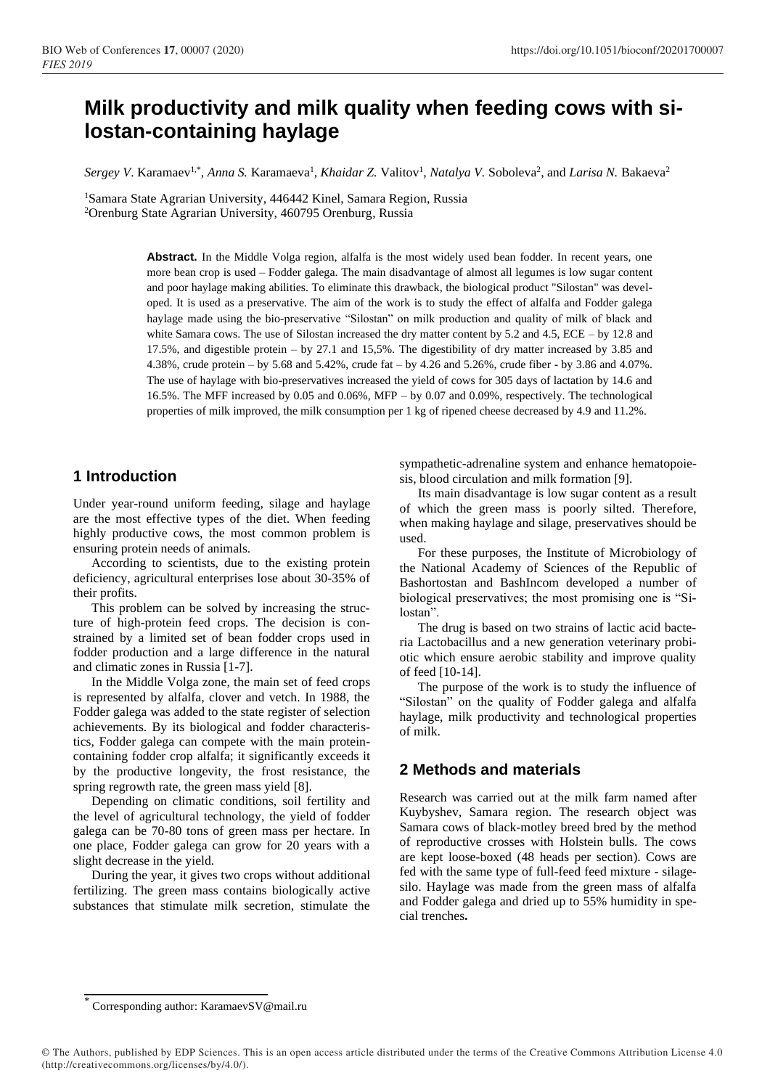# **Milk productivity and milk quality when feeding cows with silostan-containing haylage**

Sergey V. Karamaev<sup>1,\*</sup>, *Anna S. Karamaeva<sup>1</sup>, Khaidar Z. Valitov<sup>1</sup>, <i>Natalya V. Soboleva<sup>2</sup>, and Larisa N. Bakaeva<sup>2</sup>* 

<sup>1</sup>Samara State Agrarian University, 446442 Kinel, Samara Region, Russia <sup>2</sup>Orenburg State Agrarian University, 460795 Orenburg, Russia

> Abstract. In the Middle Volga region, alfalfa is the most widely used bean fodder. In recent years, one more bean crop is used – Fodder galega. The main disadvantage of almost all legumes is low sugar content and poor haylage making abilities. To eliminate this drawback, the biological product "Silostan" was developed. It is used as a preservative. The aim of the work is to study the effect of alfalfa and Fodder galega haylage made using the bio-preservative "Silostan" on milk production and quality of milk of black and white Samara cows. The use of Silostan increased the dry matter content by 5.2 and 4.5, ECE – by 12.8 and 17.5%, and digestible protein – by 27.1 and 15,5%. The digestibility of dry matter increased by 3.85 and 4.38%, crude protein – by 5.68 and 5.42%, crude fat – by 4.26 and 5.26%, crude fiber - by 3.86 and 4.07%. The use of haylage with bio-preservatives increased the yield of cows for 305 days of lactation by 14.6 and 16.5%. The MFF increased by 0.05 and 0.06%, MFP – by 0.07 and 0.09%, respectively. The technological properties of milk improved, the milk consumption per 1 kg of ripened cheese decreased by 4.9 and 11.2%.

#### **1 Introduction**

Under year-round uniform feeding, silage and haylage are the most effective types of the diet. When feeding highly productive cows, the most common problem is ensuring protein needs of animals.

According to scientists, due to the existing protein deficiency, agricultural enterprises lose about 30-35% of their profits.

This problem can be solved by increasing the structure of high-protein feed crops. The decision is constrained by a limited set of bean fodder crops used in fodder production and a large difference in the natural and climatic zones in Russia [1-7].

In the Middle Volga zone, the main set of feed crops is represented by alfalfa, clover and vetch. In 1988, the Fodder galega was added to the state register of selection achievements. By its biological and fodder characteristics, Fodder galega can compete with the main proteincontaining fodder crop alfalfa; it significantly exceeds it by the productive longevity, the frost resistance, the spring regrowth rate, the green mass yield [8].

Depending on climatic conditions, soil fertility and the level of agricultural technology, the yield of fodder galega can be 70-80 tons of green mass per hectare. In one place, Fodder galega can grow for 20 years with a slight decrease in the yield.

During the year, it gives two crops without additional fertilizing. The green mass contains biologically active substances that stimulate milk secretion, stimulate the

sympathetic-adrenaline system and enhance hematopoiesis, blood circulation and milk formation [9].

Its main disadvantage is low sugar content as a result of which the green mass is poorly silted. Therefore, when making haylage and silage, preservatives should be used.

For these purposes, the Institute of Microbiology of the National Academy of Sciences of the Republic of Bashortostan and BashIncom developed a number of biological preservatives; the most promising one is "Silostan".

The drug is based on two strains of lactic acid bacteria Lactobacillus and a new generation veterinary probiotic which ensure aerobic stability and improve quality of feed [10-14].

The purpose of the work is to study the influence of "Silostan" on the quality of Fodder galega and alfalfa haylage, milk productivity and technological properties of milk.

### **2 Methods and materials**

Research was carried out at the milk farm named after Kuybyshev, Samara region. The research object was Samara cows of black-motley breed bred by the method of reproductive crosses with Holstein bulls. The cows are kept loose-boxed (48 heads per section). Cows are fed with the same type of full-feed feed mixture - silagesilo. Haylage was made from the green mass of alfalfa and Fodder galega and dried up to 55% humidity in special trenches**.**

<sup>\*</sup> Corresponding author: KaramaevSV@mail.ru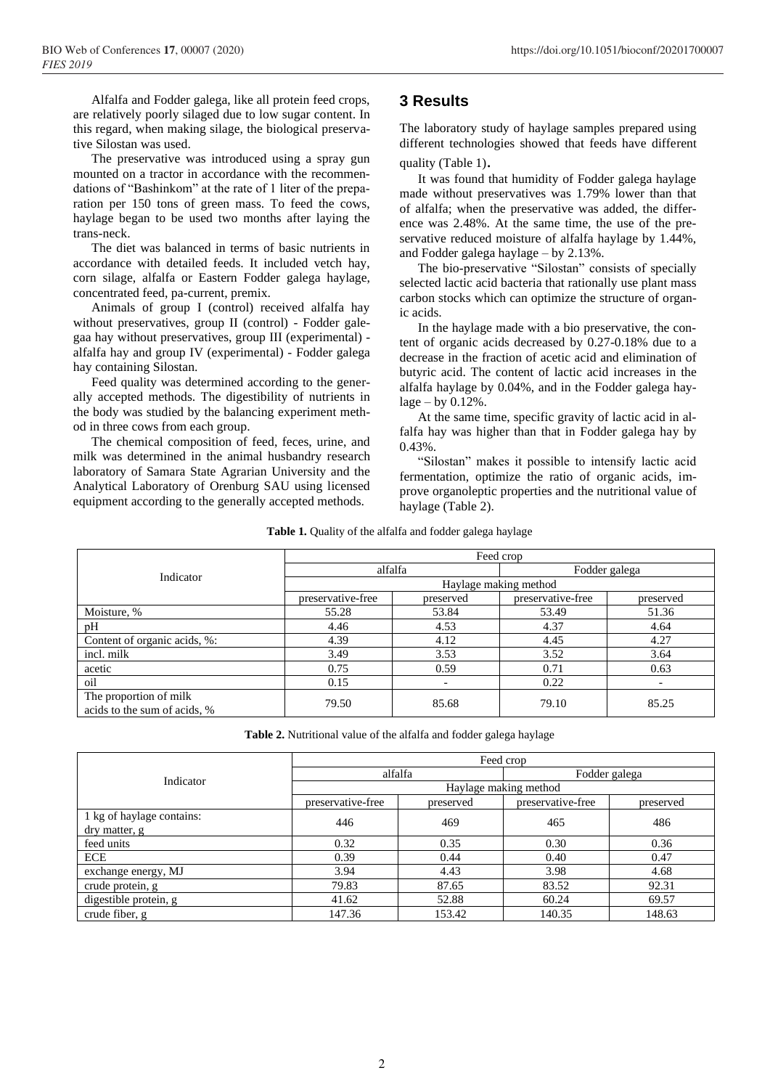Alfalfa and Fodder galega, like all protein feed crops, are relatively poorly silaged due to low sugar content. In this regard, when making silage, the biological preservative Silostan was used.

The preservative was introduced using a spray gun mounted on a tractor in accordance with the recommendations of "Bashinkom" at the rate of 1 liter of the preparation per 150 tons of green mass. To feed the cows, haylage began to be used two months after laying the trans-neck.

The diet was balanced in terms of basic nutrients in accordance with detailed feeds. It included vetch hay, corn silage, alfalfa or Eastern Fodder galega haylage, concentrated feed, pa-current, premix.

Animals of group I (control) received alfalfa hay without preservatives, group II (control) - Fodder galegaa hay without preservatives, group III (experimental) alfalfa hay and group IV (experimental) - Fodder galega hay containing Silostan.

Feed quality was determined according to the generally accepted methods. The digestibility of nutrients in the body was studied by the balancing experiment method in three cows from each group.

The chemical composition of feed, feces, urine, and milk was determined in the animal husbandry research laboratory of Samara State Agrarian University and the Analytical Laboratory of Orenburg SAU using licensed equipment according to the generally accepted methods.

## **3 Results**

The laboratory study of haylage samples prepared using different technologies showed that feeds have different quality (Table 1).

It was found that humidity of Fodder galega haylage made without preservatives was 1.79% lower than that of alfalfa; when the preservative was added, the difference was 2.48%. At the same time, the use of the preservative reduced moisture of alfalfa haylage by 1.44%, and Fodder galega haylage – by 2.13%.

The bio-preservative "Silostan" consists of specially selected lactic acid bacteria that rationally use plant mass carbon stocks which can optimize the structure of organic acids.

In the haylage made with a bio preservative, the content of organic acids decreased by 0.27-0.18% due to a decrease in the fraction of acetic acid and elimination of butyric acid. The content of lactic acid increases in the alfalfa haylage by 0.04%, and in the Fodder galega hay $lage - by 0.12%$ .

At the same time, specific gravity of lactic acid in alfalfa hay was higher than that in Fodder galega hay by 0.43%.

"Silostan" makes it possible to intensify lactic acid fermentation, optimize the ratio of organic acids, improve organoleptic properties and the nutritional value of haylage (Table 2).

| <b>Table 1.</b> Quality of the alfalfa and fodder galega haylage |  |  |  |  |
|------------------------------------------------------------------|--|--|--|--|
|                                                                  |  |  |  |  |

|                                                        | Feed crop             |           |                   |           |  |  |
|--------------------------------------------------------|-----------------------|-----------|-------------------|-----------|--|--|
| Indicator                                              |                       | alfalfa   | Fodder galega     |           |  |  |
|                                                        | Haylage making method |           |                   |           |  |  |
|                                                        | preservative-free     | preserved | preservative-free | preserved |  |  |
| Moisture, %                                            | 55.28                 | 53.84     | 53.49             | 51.36     |  |  |
| pH                                                     | 4.46                  | 4.53      | 4.37              | 4.64      |  |  |
| Content of organic acids, %:                           | 4.39                  | 4.12      | 4.45              | 4.27      |  |  |
| incl. milk                                             | 3.49                  | 3.53      | 3.52              | 3.64      |  |  |
| acetic                                                 | 0.75                  | 0.59      | 0.71              | 0.63      |  |  |
| oil                                                    | 0.15                  |           | 0.22              |           |  |  |
| The proportion of milk<br>acids to the sum of acids, % | 79.50                 | 85.68     | 79.10             | 85.25     |  |  |

**Table 2.** Nutritional value of the alfalfa and fodder galega haylage

|                           | Feed crop             |           |                   |           |  |  |  |
|---------------------------|-----------------------|-----------|-------------------|-----------|--|--|--|
| Indicator                 | alfalfa               |           | Fodder galega     |           |  |  |  |
|                           | Haylage making method |           |                   |           |  |  |  |
|                           | preservative-free     | preserved | preservative-free | preserved |  |  |  |
| 1 kg of haylage contains: | 446                   | 469       | 465               | 486       |  |  |  |
| dry matter, g             |                       |           |                   |           |  |  |  |
| feed units                | 0.32                  | 0.35      | 0.30              | 0.36      |  |  |  |
| <b>ECE</b>                | 0.39                  | 0.44      | 0.40              | 0.47      |  |  |  |
| exchange energy, MJ       | 3.94                  | 4.43      | 3.98              | 4.68      |  |  |  |
| crude protein, g          | 79.83                 | 87.65     | 83.52             | 92.31     |  |  |  |
| digestible protein, g     | 41.62                 | 52.88     | 60.24             | 69.57     |  |  |  |
| crude fiber, g            | 147.36                | 153.42    | 140.35            | 148.63    |  |  |  |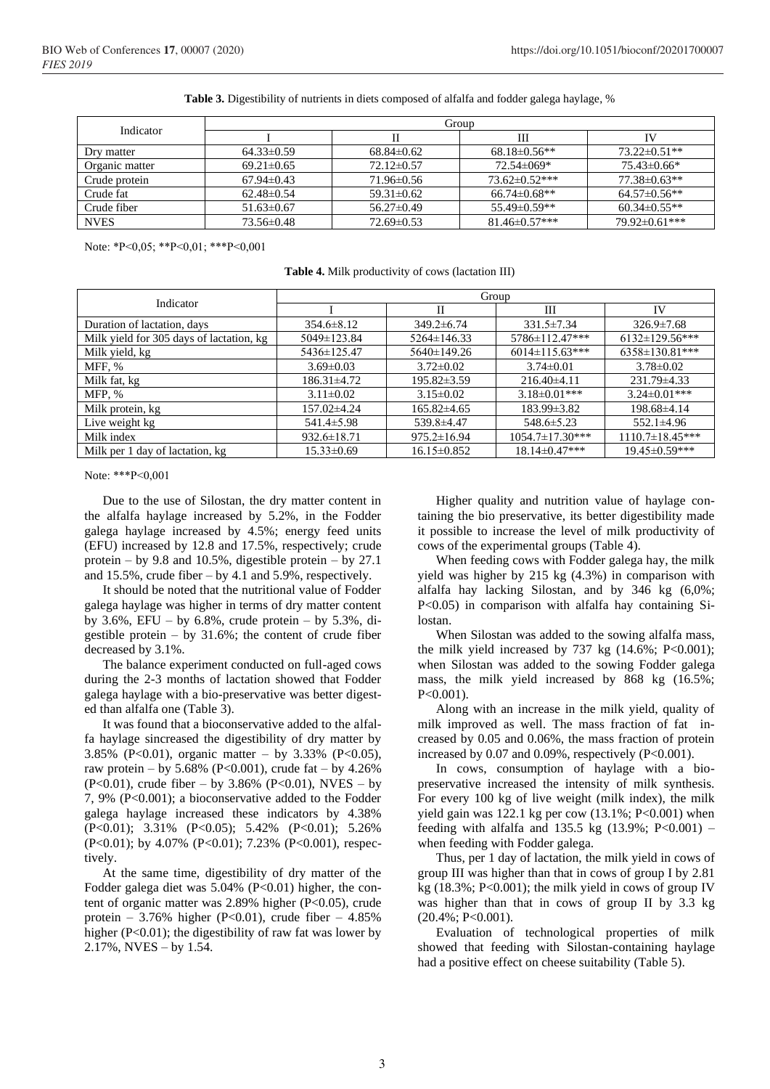|  | Table 3. Digestibility of nutrients in diets composed of alfalfa and fodder galega haylage, % |
|--|-----------------------------------------------------------------------------------------------|
|  |                                                                                               |

| Indicator      | Group            |                  |                      |                    |  |  |
|----------------|------------------|------------------|----------------------|--------------------|--|--|
|                |                  |                  | Ш                    |                    |  |  |
| Dry matter     | $64.33 \pm 0.59$ | $68.84\pm0.62$   | $68.18\pm0.56**$     | $73.22 \pm 0.51**$ |  |  |
| Organic matter | $69.21 \pm 0.65$ | $72.12\pm0.57$   | 72.54±069*           | $75.43\pm0.66*$    |  |  |
| Crude protein  | $67.94\pm0.43$   | 71.96±0.56       | $73.62 \pm 0.52$ *** | $77.38 \pm 0.63**$ |  |  |
| Crude fat      | $62.48\pm0.54$   | $59.31 \pm 0.62$ | $66.74 \pm 0.68**$   | $64.57\pm0.56**$   |  |  |
| Crude fiber    | $51.63 \pm 0.67$ | $56.27 \pm 0.49$ | $55.49\pm0.59**$     | $60.34\pm0.55**$   |  |  |
| <b>NVES</b>    | 73.56±0.48       | $72.69 \pm 0.53$ | $81.46 \pm 0.57$ *** | 79.92±0.61***      |  |  |

Note: \*Р<0,05; \*\*Р<0,01; \*\*\*Р<0,001

| <b>Table 4.</b> Milk productivity of cows (lactation III) |  |
|-----------------------------------------------------------|--|
|                                                           |  |

| Indicator                                | Group             |                   |                        |                       |  |  |
|------------------------------------------|-------------------|-------------------|------------------------|-----------------------|--|--|
|                                          |                   | Н                 | Ш                      | IV                    |  |  |
| Duration of lactation, days              | $354.6 \pm 8.12$  | $349.2 \pm 6.74$  | $331.5 \pm 7.34$       | $326.9 \pm 7.68$      |  |  |
| Milk yield for 305 days of lactation, kg | 5049±123.84       | 5264±146.33       | 5786±112.47***         | $6132 \pm 129.56$ *** |  |  |
| Milk yield, kg                           | 5436±125.47       | $5640 \pm 149.26$ | $6014 \pm 115.63$ ***  | $6358 \pm 130.81***$  |  |  |
| MFF, %                                   | $3.69 \pm 0.03$   | $3.72 \pm 0.02$   | $3.74 \pm 0.01$        | $3.78 \pm 0.02$       |  |  |
| Milk fat, kg                             | 186.31±4.72       | $195.82 \pm 3.59$ | $216.40\pm4.11$        | 231.79 ± 4.33         |  |  |
| MFP, %                                   | $3.11 \pm 0.02$   | $3.15 \pm 0.02$   | $3.18 \pm 0.01$ ***    | $3.24 \pm 0.01$ ***   |  |  |
| Milk protein, kg                         | 157.02±4.24       | $165.82{\pm}4.65$ | $183.99 \pm 3.82$      | 198.68±4.14           |  |  |
| Live weight kg                           | $541.4 \pm 5.98$  | 539.8±4.47        | $548.6 \pm 5.23$       | $552.1 \pm 4.96$      |  |  |
| Milk index                               | $932.6 \pm 18.71$ | $975.2 \pm 16.94$ | $1054.7 \pm 17.30$ *** | $1110.7\pm18.45***$   |  |  |
| Milk per 1 day of lactation, kg          | $15.33 \pm 0.69$  | $16.15 \pm 0.852$ | $18.14 \pm 0.47$ ***   | 19.45±0.59***         |  |  |

Note: \*\*\*Р<0,001

Due to the use of Silostan, the dry matter content in the alfalfa haylage increased by 5.2%, in the Fodder galega haylage increased by 4.5%; energy feed units (EFU) increased by 12.8 and 17.5%, respectively; crude protein – by 9.8 and 10.5%, digestible protein – by 27.1 and 15.5%, crude fiber – by 4.1 and 5.9%, respectively.

It should be noted that the nutritional value of Fodder galega haylage was higher in terms of dry matter content by 3.6%, EFU – by 6.8%, crude protein – by 5.3%, digestible protein  $-$  by 31.6%; the content of crude fiber decreased by 3.1%.

The balance experiment conducted on full-aged cows during the 2-3 months of lactation showed that Fodder galega haylage with a bio-preservative was better digested than alfalfa one (Table 3).

It was found that a bioconservative added to the alfalfa haylage sincreased the digestibility of dry matter by 3.85% (P<0.01), organic matter – by 3.33% (P<0.05), raw protein – by 5.68% (P<0.001), crude fat – by 4.26% (P<0.01), crude fiber – by  $3.86\%$  (P<0.01), NVES – by 7, 9% (P<0.001); a bioconservative added to the Fodder galega haylage increased these indicators by 4.38% (P<0.01); 3.31% (P<0.05); 5.42% (P<0.01); 5.26% (P<0.01); by 4.07% (P<0.01); 7.23% (P<0.001), respectively.

At the same time, digestibility of dry matter of the Fodder galega diet was  $5.04\%$  (P<0.01) higher, the content of organic matter was 2.89% higher (P<0.05), crude protein – 3.76% higher (P<0.01), crude fiber – 4.85% higher  $(P<0.01)$ ; the digestibility of raw fat was lower by 2.17%, NVES – by 1.54.

Higher quality and nutrition value of haylage containing the bio preservative, its better digestibility made it possible to increase the level of milk productivity of cows of the experimental groups (Table 4).

When feeding cows with Fodder galega hay, the milk yield was higher by 215 kg (4.3%) in comparison with alfalfa hay lacking Silostan, and by 346 kg (6,0%; P<0.05) in comparison with alfalfa hay containing Silostan.

When Silostan was added to the sowing alfalfa mass, the milk yield increased by  $737 \text{ kg}$  (14.6%; P<0.001); when Silostan was added to the sowing Fodder galega mass, the milk yield increased by 868 kg (16.5%; P<0.001).

Along with an increase in the milk yield, quality of milk improved as well. The mass fraction of fat increased by 0.05 and 0.06%, the mass fraction of protein increased by 0.07 and 0.09%, respectively (P<0.001).

In cows, consumption of haylage with a biopreservative increased the intensity of milk synthesis. For every 100 kg of live weight (milk index), the milk yield gain was  $122.1$  kg per cow  $(13.1\%; P<0.001)$  when feeding with alfalfa and 135.5 kg  $(13.9\%; P<0.001)$  when feeding with Fodder galega.

Thus, per 1 day of lactation, the milk yield in cows of group III was higher than that in cows of group I by 2.81 kg  $(18.3\%; P<0.001)$ ; the milk yield in cows of group IV was higher than that in cows of group II by 3.3 kg  $(20.4\%; P<0.001).$ 

Evaluation of technological properties of milk showed that feeding with Silostan-containing haylage had a positive effect on cheese suitability (Table 5).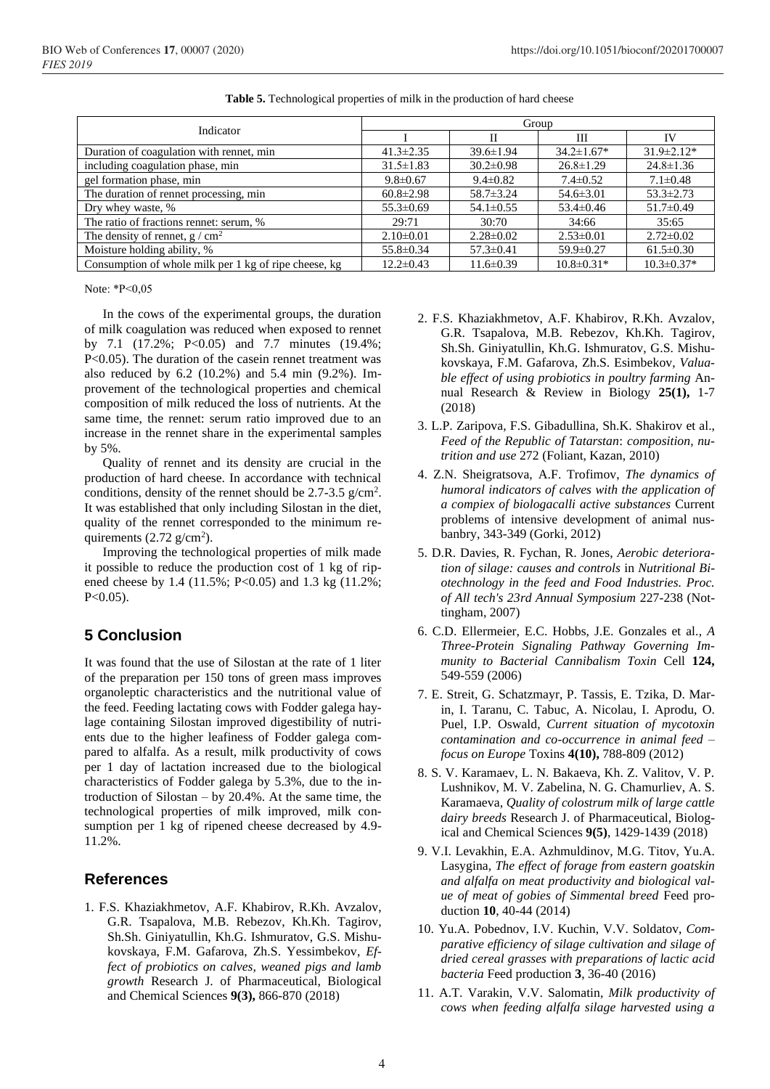|                                                       | Group           |                 |                  |                  |  |  |
|-------------------------------------------------------|-----------------|-----------------|------------------|------------------|--|--|
| Indicator                                             |                 | Π               | Ш                | IV               |  |  |
| Duration of coagulation with rennet, min              | $41.3 \pm 2.35$ | $39.6 \pm 1.94$ | $34.2 \pm 1.67*$ | $31.9 \pm 2.12*$ |  |  |
| including coagulation phase, min                      | $31.5 \pm 1.83$ | $30.2 \pm 0.98$ | $26.8 \pm 1.29$  | $24.8 \pm 1.36$  |  |  |
| gel formation phase, min                              | $9.8 \pm 0.67$  | $9.4 \pm 0.82$  | $7.4 \pm 0.52$   | $7.1 \pm 0.48$   |  |  |
| The duration of rennet processing, min                | $60.8 \pm 2.98$ | $58.7 \pm 3.24$ | $54.6 \pm 3.01$  | $53.3 \pm 2.73$  |  |  |
| Dry whey waste, %                                     | $55.3 \pm 0.69$ | $54.1 \pm 0.55$ | $53.4 \pm 0.46$  | $51.7 \pm 0.49$  |  |  |
| The ratio of fractions rennet: serum, %               | 29:71           | 30:70           | 34:66            | 35:65            |  |  |
| The density of rennet, $g / cm2$                      | $2.10\pm0.01$   | $2.28 \pm 0.02$ | $2.53 \pm 0.01$  | $2.72 \pm 0.02$  |  |  |
| Moisture holding ability, %                           | $55.8 \pm 0.34$ | $57.3 \pm 0.41$ | $59.9 \pm 0.27$  | $61.5 \pm 0.30$  |  |  |
| Consumption of whole milk per 1 kg of ripe cheese, kg | $12.2 \pm 0.43$ | $11.6 \pm 0.39$ | $10.8 \pm 0.31*$ | $10.3 \pm 0.37*$ |  |  |

**Table 5.** Technological properties of milk in the production of hard cheese

Note: \*Р<0,05

In the cows of the experimental groups, the duration of milk coagulation was reduced when exposed to rennet by 7.1 (17.2%; P<0.05) and 7.7 minutes (19.4%; P<0.05). The duration of the casein rennet treatment was also reduced by 6.2 (10.2%) and 5.4 min (9.2%). Improvement of the technological properties and chemical composition of milk reduced the loss of nutrients. At the same time, the rennet: serum ratio improved due to an increase in the rennet share in the experimental samples by 5%.

Quality of rennet and its density are crucial in the production of hard cheese. In accordance with technical conditions, density of the rennet should be  $2.7 - 3.5$  g/cm<sup>2</sup>. It was established that only including Silostan in the diet, quality of the rennet corresponded to the minimum requirements  $(2.72 \text{ g/cm}^2)$ .

Improving the technological properties of milk made it possible to reduce the production cost of 1 kg of ripened cheese by 1.4 (11.5%; P<0.05) and 1.3 kg (11.2%;  $P < 0.05$ ).

## **5 Conclusion**

It was found that the use of Silostan at the rate of 1 liter of the preparation per 150 tons of green mass improves organoleptic characteristics and the nutritional value of the feed. Feeding lactating cows with Fodder galega haylage containing Silostan improved digestibility of nutrients due to the higher leafiness of Fodder galega compared to alfalfa. As a result, milk productivity of cows per 1 day of lactation increased due to the biological characteristics of Fodder galega by 5.3%, due to the introduction of Silostan  $-$  by 20.4%. At the same time, the technological properties of milk improved, milk consumption per 1 kg of ripened cheese decreased by 4.9- 11.2%.

### **References**

1. F.S. Khaziakhmetov, A.F. Khabirov, R.Kh. Avzalov, G.R. Tsapalova, M.B. Rebezov, Kh.Kh. Tagirov, Sh.Sh. Giniyatullin, Kh.G. Ishmuratov, G.S. Mishukovskaya, F.M. Gafarova, Zh.S. Yessimbekov, *Effect of probiotics on calves, weaned pigs and lamb growth* Research J. of Pharmaceutical, Biological and Chemical Sciences **9(3),** 866-870 (2018)

- 2. F.S. Khaziakhmetov, A.F. Khabirov, R.Kh. Avzalov, G.R. Tsapalova, M.B. Rebezov, Kh.Kh. Tagirov, Sh.Sh. Giniyatullin, Kh.G. Ishmuratov, G.S. Mishukovskaya, F.M. Gafarova, Zh.S. Esimbekov, *Valuable effect of using probiotics in poultry farming* Annual Research & Review in Biology **25(1),** 1-7 (2018)
- 3. L.P. Zaripova, F.S. Gibadullina, Sh.K. Shakirov et al., *Feed of the Republic of Tatarstan*: *composition, nutrition and use* 272 (Foliant, Kazan, 2010)
- 4. Z.N. Sheigratsova, A.F. Trofimov, *The dynamics of humoral indicators of calves with the application of a compiex of biologacalli active substances* Current problems of intensive development of animal nusbanbry, 343-349 (Gorki, 2012)
- 5. D.R. Davies, R. Fychan, R. Jones, *Aerobic deterioration of silage: causes and controls* in *Nutritional Biotechnology in the feed and Food Industries. Proc. of All tech's 23rd Annual Symposium* 227-238 (Nottingham, 2007)
- 6. C.D. Ellermeier, E.C. Hobbs, J.E. Gonzales et al., *A Three-Protein Signaling Pathway Governing Immunity to Bacterial Cannibalism Toxin* Cell **124,** 549-559 (2006)
- 7. E. Streit, G. Schatzmayr, P. Tassis, E. Tzika, D. Marin, I. Taranu, C. Tabuc, A. Nicolau, I. Aprodu, O. Puel, I.P. Oswald, *Current situation of mycotoxin contamination and co-occurrence in animal feed – focus on Europe* Toxins **4(10),** 788-809 (2012)
- 8. S. V. Karamaev, L. N. Bakaeva, Kh. Z. Valitov, V. P. Lushnikov, M. V. Zabelina, N. G. Chamurliev, A. S. Karamaeva, *Quality of colostrum milk of large cattle dairy breeds* Research J. of Pharmaceutical, Biological and Chemical Sciences **9(5)**, 1429-1439 (2018)
- 9. V.I. Levakhin, E.A. Azhmuldinov, M.G. Titov, Yu.A. Lasygina, *The effect of forage from eastern goatskin and alfalfa on meat productivity and biological value of meat of gobies of Simmental breed* Feed production **10**, 40-44 (2014)
- 10. Yu.A. Pobednov, I.V. Kuchin, V.V. Soldatov, *Comparative efficiency of silage cultivation and silage of dried cereal grasses with preparations of lactic acid bacteria* Feed production **3**, 36-40 (2016)
- 11. A.T. Varakin, V.V. Salomatin, *Milk productivity of cows when feeding alfalfa silage harvested using a*